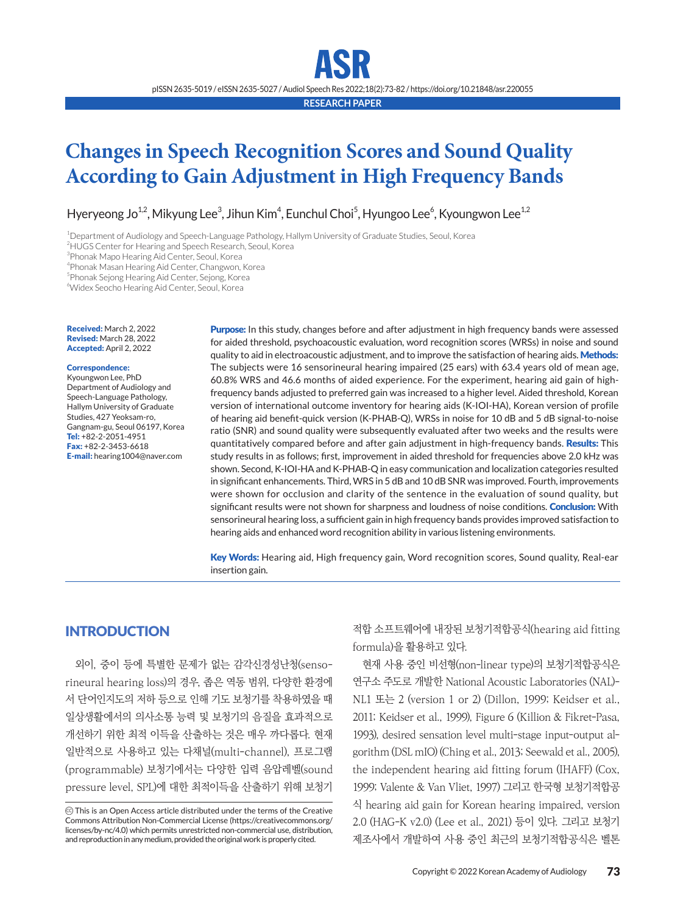pISSN 2635-5019 / eISSN 2635-5027 / Audiol Speech Res 2022;18(2):73-82 / https://doi.org/10.21848/asr.220055

**RESEARCH PAPER**

## **Changes in Speech Recognition Scores and Sound Quality According to Gain Adjustment in High Frequency Bands**

Hyeryeong Jo<sup>1,2</sup>, Mikyung Lee<sup>3</sup>, Jihun Kim<sup>4</sup>, Eunchul Choi<sup>5</sup>, Hyungoo Lee<sup>6</sup>, Kyoungwon Lee<sup>1,2</sup>

1 Department of Audiology and Speech-Language Pathology, Hallym University of Graduate Studies, Seoul, Korea

<sup>2</sup>HUGS Center for Hearing and Speech Research, Seoul, Korea

3 Phonak Mapo Hearing Aid Center, Seoul, Korea

4 Phonak Masan Hearing Aid Center, Changwon, Korea

5 Phonak Sejong Hearing Aid Center, Sejong, Korea

6 Widex Seocho Hearing Aid Center, Seoul, Korea

Received: March 2, 2022 Revised: March 28, 2022 Accepted: April 2, 2022

#### Correspondence:

Kyoungwon Lee, PhD Department of Audiology and Speech-Language Pathology, Hallym University of Graduate Studies, 427 Yeoksam-ro, Gangnam-gu, Seoul 06197, Korea Tel: +82-2-2051-4951 Fax: +82-2-3453-6618 E-mail: hearing1004@naver.com

Purpose: In this study, changes before and after adjustment in high frequency bands were assessed for aided threshold, psychoacoustic evaluation, word recognition scores (WRSs) in noise and sound quality to aid in electroacoustic adjustment, and to improve the satisfaction of hearing aids. Methods: The subjects were 16 sensorineural hearing impaired (25 ears) with 63.4 years old of mean age, 60.8% WRS and 46.6 months of aided experience. For the experiment, hearing aid gain of highfrequency bands adjusted to preferred gain was increased to a higher level. Aided threshold, Korean version of international outcome inventory for hearing aids (K-IOI-HA), Korean version of profile of hearing aid benefit-quick version (K-PHAB-Q), WRSs in noise for 10 dB and 5 dB signal-to-noise ratio (SNR) and sound quality were subsequently evaluated after two weeks and the results were quantitatively compared before and after gain adjustment in high-frequency bands. **Results:** This study results in as follows; first, improvement in aided threshold for frequencies above 2.0 kHz was shown. Second, K-IOI-HA and K-PHAB-Q in easy communication and localization categories resulted in significant enhancements. Third, WRS in 5 dB and 10 dB SNR was improved. Fourth, improvements were shown for occlusion and clarity of the sentence in the evaluation of sound quality, but significant results were not shown for sharpness and loudness of noise conditions. Conclusion: With sensorineural hearing loss, a sufficient gain in high frequency bands provides improved satisfaction to hearing aids and enhanced word recognition ability in various listening environments.

Key Words: Hearing aid, High frequency gain, Word recognition scores, Sound quality, Real-ear insertion gain.

## **INTRODUCTION**

외이, 중이 등에 특별한 문제가 없는 감각신경성난청(sensorineural hearing loss)의 경우, 좁은 역동 범위, 다양한 환경에 서 단어인지도의 저하 등으로 인해 기도 보청기를 착용하였을 때 일상생활에서의 의사소통 능력 및 보청기의 음질을 효과적으로 개선하기 위한 최적 이득을 산출하는 것은 매우 까다롭다. 현재 일반적으로 사용하고 있는 다채널(multi-channel), 프로그램 (programmable) 보청기에서는 다양한 입력 음압레벨(sound pressure level, SPL)에 대한 최적이득을 산출하기 위해 보청기

CC This is an Open Access article distributed under the terms of the Creative Commons Attribution Non-Commercial License (https://creativecommons.org/ licenses/by-nc/4.0) which permits unrestricted non-commercial use, distribution, and reproduction in any medium, provided the original work is properly cited.

적합 소프트웨어에 내장된 보청기적합공식(hearing aid fitting formula)을 활용하고 있다.

현재 사용 중인 비선형(non-linear type)의 보청기적합공식은 연구소 주도로 개발한 National Acoustic Laboratories (NAL)- NL1 또는 2 (version 1 or 2) (Dillon, 1999; Keidser et al., 2011; Keidser et al., 1999), Figure 6 (Killion & Fikret-Pasa, 1993), desired sensation level multi-stage input-output algorithm (DSL mIO) (Ching et al., 2013; Seewald et al., 2005), the independent hearing aid fitting forum (IHAFF) (Cox, 1999; Valente & Van Vliet, 1997) 그리고 한국형 보청기적합공 식 hearing aid gain for Korean hearing impaired, version 2.0 (HAG-K v2.0) (Lee et al., 2021) 등이 있다. 그리고 보청기 제조사에서 개발하여 사용 중인 최근의 보청기적합공식은 벨톤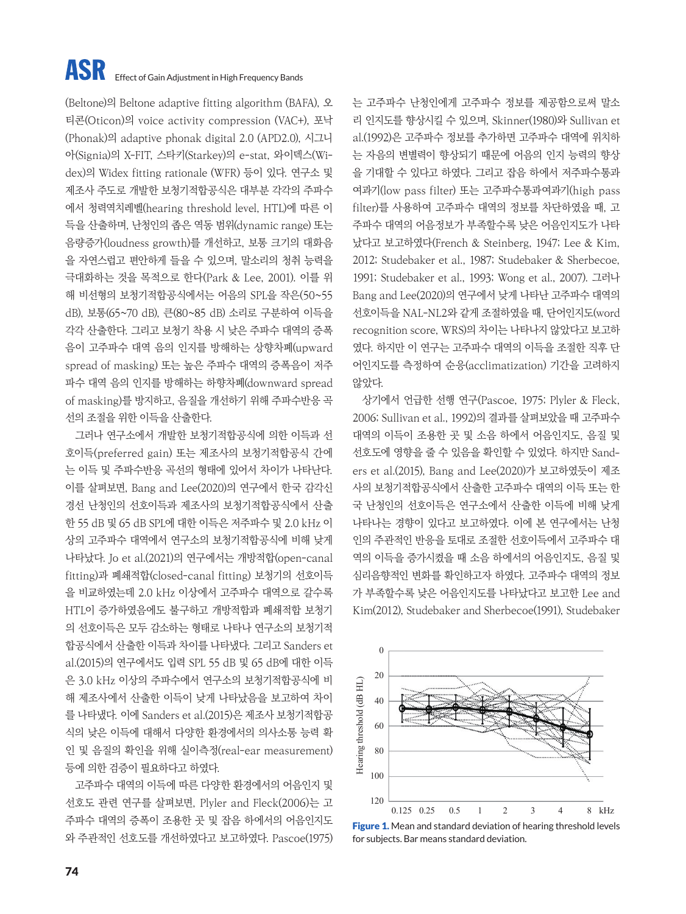## **ASR** Effect of Gain Adjustment in High Frequency Bands

(Beltone)의 Beltone adaptive fitting algorithm (BAFA), 오 티콘(Oticon)의 voice activity compression (VAC+), 포낙 (Phonak)의 adaptive phonak digital 2.0 (APD2.0), 시그니 아(Signia)의 X-FIT, 스타키(Starkey)의 e-stat, 와이덱스(Widex)의 Widex fitting rationale (WFR) 등이 있다. 연구소 및 제조사 주도로 개발한 보청기적합공식은 대부분 각각의 주파수 에서 청력역치레벨(hearing threshold level, HTL)에 따른 이 득을 산출하며, 난청인의 좁은 역동 범위(dynamic range) 또는 음량증가(loudness growth)를 개선하고, 보통 크기의 대화음 을 자연스럽고 편안하게 들을 수 있으며, 말소리의 청취 능력을 극대화하는 것을 목적으로 한다(Park & Lee, 2001). 이를 위 해 비선형의 보청기적합공식에서는 어음의 SPL을 작은(50~55 dB), 보통(65~70 dB), 큰(80~85 dB) 소리로 구분하여 이득을 각각 산출한다. 그리고 보청기 착용 시 낮은 주파수 대역의 증폭 음이 고주파수 대역 음의 인지를 방해하는 상향차폐(upward spread of masking) 또는 높은 주파수 대역의 증폭음이 저주 파수 대역 음의 인지를 방해하는 하향차폐(downward spread of masking)를 방지하고, 음질을 개선하기 위해 주파수반응 곡 선의 조절을 위한 이득을 산출한다.

그러나 연구소에서 개발한 보청기적합공식에 의한 이득과 선 호이득(preferred gain) 또는 제조사의 보청기적합공식 간에 는 이득 및 주파수반응 곡선의 형태에 있어서 차이가 나타난다. 이를 살펴보면, Bang and Lee(2020)의 연구에서 한국 감각신 경선 난청인의 선호이득과 제조사의 보청기적합공식에서 산출 한 55 dB 및 65 dB SPL에 대한 이득은 저주파수 및 2.0 kHz 이 상의 고주파수 대역에서 연구소의 보청기적합공식에 비해 낮게 나타났다. Jo et al.(2021)의 연구에서는 개방적합(open-canal fitting)과 폐쇄적합(closed-canal fitting) 보청기의 선호이득 을 비교하였는데 2.0 kHz 이상에서 고주파수 대역으로 갈수록 HTL이 증가하였음에도 불구하고 개방적합과 폐쇄적합 보청기 의 선호이득은 모두 감소하는 형태로 나타나 연구소의 보청기적 합공식에서 산출한 이득과 차이를 나타냈다. 그리고 Sanders et al.(2015)의 연구에서도 입력 SPL 55 dB 및 65 dB에 대한 이득 은 3.0 kHz 이상의 주파수에서 연구소의 보청기적합공식에 비 해 제조사에서 산출한 이득이 낮게 나타났음을 보고하여 차이 를 나타냈다. 이에 Sanders et al.(2015)은 제조사 보청기적합공 식의 낮은 이득에 대해서 다양한 환경에서의 의사소통 능력 확 인 및 음질의 확인을 위해 실이측정(real-ear measurement) 등에 의한 검증이 필요하다고 하였다.

고주파수 대역의 이득에 따른 다양한 환경에서의 어음인지 및 선호도 관련 연구를 살펴보면, Plyler and Fleck(2006)는 고 주파수 대역의 증폭이 조용한 곳 및 잡음 하에서의 어음인지도 와 주관적인 선호도를 개선하였다고 보고하였다. Pascoe(1975) 는 고주파수 난청인에게 고주파수 정보를 제공함으로써 말소 리 인지도를 향상시킬 수 있으며, Skinner(1980)와 Sullivan et al.(1992)은 고주파수 정보를 추가하면 고주파수 대역에 위치하 는 자음의 변별력이 향상되기 때문에 어음의 인지 능력의 향상 을 기대할 수 있다고 하였다. 그리고 잡음 하에서 저주파수통과 여과기(low pass filter) 또는 고주파수통과여과기(high pass filter)를 사용하여 고주파수 대역의 정보를 차단하였을 때, 고 주파수 대역의 어음정보가 부족할수록 낮은 어음인지도가 나타 났다고 보고하였다(French & Steinberg, 1947; Lee & Kim, 2012; Studebaker et al., 1987; Studebaker & Sherbecoe, 1991; Studebaker et al., 1993; Wong et al., 2007). 그러나 Bang and Lee(2020)의 연구에서 낮게 나타난 고주파수 대역의 선호이득을 NAL-NL2와 같게 조절하였을 때, 단어인지도(word recognition score, WRS)의 차이는 나타나지 않았다고 보고하 였다. 하지만 이 연구는 고주파수 대역의 이득을 조절한 직후 단 어인지도를 측정하여 순응(acclimatization) 기간을 고려하지 않았다.

상기에서 언급한 선행 연구(Pascoe, 1975; Plyler & Fleck, 2006; Sullivan et al., 1992)의 결과를 살펴보았을 때 고주파수 대역의 이득이 조용한 곳 및 소음 하에서 어음인지도, 음질 및 선호도에 영향을 줄 수 있음을 확인할 수 있었다. 하지만 Sanders et al.(2015), Bang and Lee(2020)가 보고하였듯이 제조 사의 보청기적합공식에서 산출한 고주파수 대역의 이득 또는 한 국 난청인의 선호이득은 연구소에서 산출한 이득에 비해 낮게 나타나는 경향이 있다고 보고하였다. 이에 본 연구에서는 난청 인의 주관적인 반응을 토대로 조절한 선호이득에서 고주파수 대 역의 이득을 증가시켰을 때 소음 하에서의 어음인지도, 음질 및 심리음향적인 변화를 확인하고자 하였다. 고주파수 대역의 정보 가 부족할수록 낮은 어음인지도를 나타났다고 보고한 Lee and Kim(2012), Studebaker and Sherbecoe(1991), Studebaker



Figure 1. Mean and standard deviation of hearing threshold levels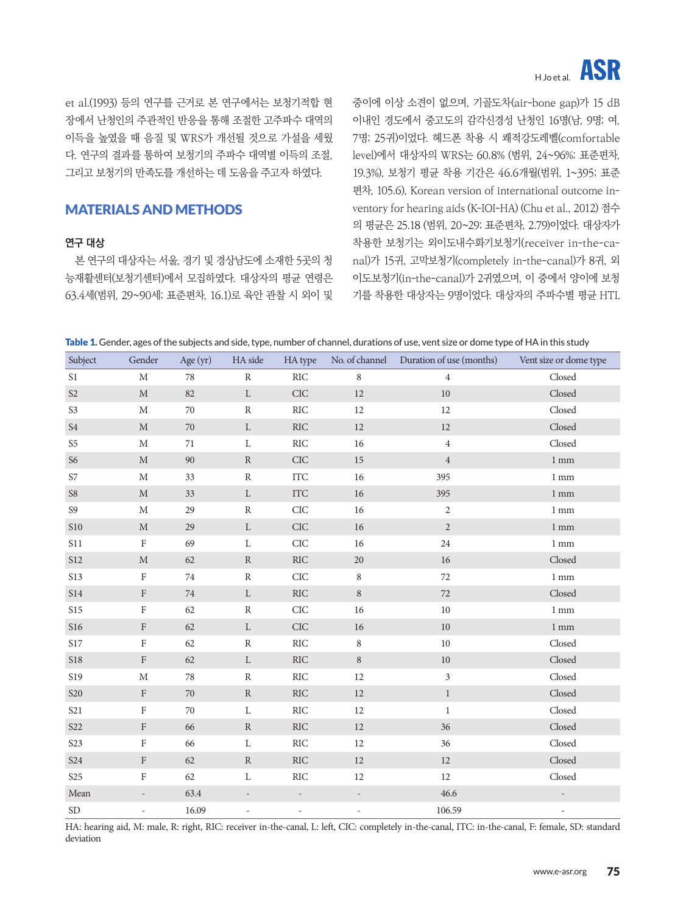# H Joet al. ASR

et al.(1993) 등의 연구를 근거로 본 연구에서는 보청기적합 현 장에서 난청인의 주관적인 반응을 통해 조절한 고주파수 대역의 이득을 높였을 때 음질 및 WRS가 개선될 것으로 가설을 세웠 다. 연구의 결과를 통하여 보청기의 주파수 대역별 이득의 조절, 그리고 보청기의 만족도를 개선하는 데 도움을 주고자 하였다.

## MATERIALS AND METHODS

#### **연구 대상**

본 연구의 대상자는 서울, 경기 및 경상남도에 소재한 5곳의 청 능재활센터(보청기센터)에서 모집하였다. 대상자의 평균 연령은 63.4세(범위, 29~90세; 표준편차, 16.1)로 육안 관찰 시 외이 및 중이에 이상 소견이 없으며, 기골도차(air-bone gap)가 15 dB 이내인 경도에서 중고도의 감각신경성 난청인 16명(남, 9명; 여, 7명; 25귀)이었다. 헤드폰 착용 시 쾌적강도레벨(comfortable level)에서 대상자의 WRS는 60.8% (범위, 24~96%; 표준편차, 19.3%), 보청기 평균 착용 기간은 46.6개월(범위, 1~395; 표준 편차, 105.6), Korean version of international outcome inventory for hearing aids (K-IOI-HA) (Chu et al., 2012) 점수 의 평균은 25.18 (범위, 20~29; 표준편차, 2.79)이었다. 대상자가 착용한 보청기는 외이도내수화기보청기(receiver in-the-canal)가 15귀, 고막보청기(completely in-the-canal)가 8귀, 외 이도보청기(in-the-canal)가 2귀였으며, 이 중에서 양이에 보청 기를 착용한 대상자는 9명이었다. 대상자의 주파수별 평균 HTL

|  | <b>Table 1.</b> Gender, ages of the subjects and side, type, number of channel, durations of use, vent size or dome type of HA in this study |
|--|----------------------------------------------------------------------------------------------------------------------------------------------|
|--|----------------------------------------------------------------------------------------------------------------------------------------------|

| Subject                    | Gender                   | Age (yr) | HA side                  | HA type       |               | No. of channel Duration of use (months) | Vent size or dome type  |
|----------------------------|--------------------------|----------|--------------------------|---------------|---------------|-----------------------------------------|-------------------------|
| S1                         | $\mathbf M$              | 78       | ${\bf R}$                | $\rm{RIC}$    | $\,8\,$       | $\overline{4}$                          | Closed                  |
| $\mathsf{S2}\,$            | $\mathbf M$              | 82       | $\mathbf L$              | CIC           | $12\,$        | $10\,$                                  | Closed                  |
| S <sub>3</sub>             | $\mathbf M$              | $70\,$   | $\mathbb R$              | $\rm{RIC}$    | $12\,$        | 12                                      | $\operatorname{Closed}$ |
| $\ensuremath{\mathrm{S4}}$ | $\mathbf M$              | $70\,$   | $\mathbf L$              | $\rm{RIC}$    | $12\,$        | 12                                      | Closed                  |
| $S5\,$                     | $\mathbf M$              | 71       | $\mathbf L$              | $\rm{RIC}$    | $16\,$        | $\overline{4}$                          | Closed                  |
| $S6$                       | $\mathbf M$              | $90\,$   | ${\bf R}$                | CIC           | $15\,$        | $\,4$                                   | $1\,\mathrm{mm}$        |
| $\sqrt{S}$                 | $\mathbf M$              | 33       | $\, {\bf R}$             | <b>ITC</b>    | $16\,$        | 395                                     | $1 \text{ mm}$          |
| ${\sf S8}$                 | $\mathbf M$              | 33       | $\mathbf L$              | $\rm{ITC}$    | $16\,$        | 395                                     | $1\,\mathrm{mm}$        |
| $S9$                       | $\mathbf M$              | 29       | ${\bf R}$                | CIC           | $16\,$        | $\sqrt{2}$                              | $1 \text{ mm}$          |
| <b>S10</b>                 | $\mathbf M$              | 29       | $\mathbf L$              | $\rm CIC$     | $16\,$        | $\sqrt{2}$                              | 1 <sub>mm</sub>         |
| S11                        | $\rm F$                  | 69       | $\mathbf L$              | CIC           | $16\,$        | 24                                      | $1 \text{ mm}$          |
| S12                        | $\mathbf M$              | 62       | ${\bf R}$                | $\rm{RIC}$    | $20\,$        | 16                                      | Closed                  |
| S13                        | $\rm F$                  | 74       | $\mathbb R$              | CIC           | $\,8\,$       | 72                                      | 1 <sub>mm</sub>         |
| $\sqrt{514}$               | $\rm F$                  | $74\,$   | $\mathbf L$              | $\rm{RIC}$    | $\,8\,$       | 72                                      | Closed                  |
| <b>S15</b>                 | $\mathbf F$              | 62       | ${\bf R}$                | CIC           | $16\,$        | 10                                      | 1 <sub>mm</sub>         |
| <b>S16</b>                 | $\rm F$                  | 62       | $\mathbf L$              | $\rm CIC$     | $16\,$        | $10\,$                                  | $1 \text{ mm}$          |
| $\sqrt{\mathrm{S17}}$      | $\rm F$                  | 62       | ${\bf R}$                | $\rm{RIC}$    | $\,8\,$       | $10\,$                                  | Closed                  |
| S18                        | $\rm F$                  | 62       | $\mathbf L$              | $\rm{RIC}$    | $\,8\,$       | $10\,$                                  | Closed                  |
| S19                        | $\mathbf M$              | 78       | $\mathbb R$              | $\rm{RIC}$    | $12\,$        | $\mathfrak{Z}$                          | Closed                  |
| <b>S20</b>                 | $\rm F$                  | $70\,$   | ${\bf R}$                | $\rm{RIC}$    | $12\,$        | $\,1$                                   | Closed                  |
| S <sub>21</sub>            | $\rm F$                  | 70       | L                        | $\rm{RIC}$    | 12            | $\mathbf{1}$                            | $\operatorname{Closed}$ |
| S22                        | $\rm F$                  | 66       | ${\bf R}$                | $\rm{RIC}$    | $12\,$        | 36                                      | Closed                  |
| S <sub>23</sub>            | $\rm F$                  | 66       | $\mathbf L$              | $\rm{RIC}$    | $12\,$        | 36                                      | $\operatorname{Closed}$ |
| <b>S24</b>                 | $\rm F$                  | $62\,$   | ${\bf R}$                | $\rm{RIC}$    | $12\,$        | 12                                      | Closed                  |
| S <sub>25</sub>            | $\mathbf F$              | 62       | L                        | $\rm{RIC}$    | $12\,$        | 12                                      | $\operatorname{Closed}$ |
| $\operatorname{Mean}$      |                          | 63.4     | $\overline{a}$           |               |               | $46.6\,$                                |                         |
| $\rm SD$                   | $\overline{\phantom{m}}$ | 16.09    | $\overline{\phantom{m}}$ | $\frac{1}{2}$ | $\frac{1}{2}$ | 106.59                                  | $\frac{1}{2}$           |

HA: hearing aid, M: male, R: right, RIC: receiver in-the-canal, L: left, CIC: completely in-the-canal, ITC: in-the-canal, F: female, SD: standard deviation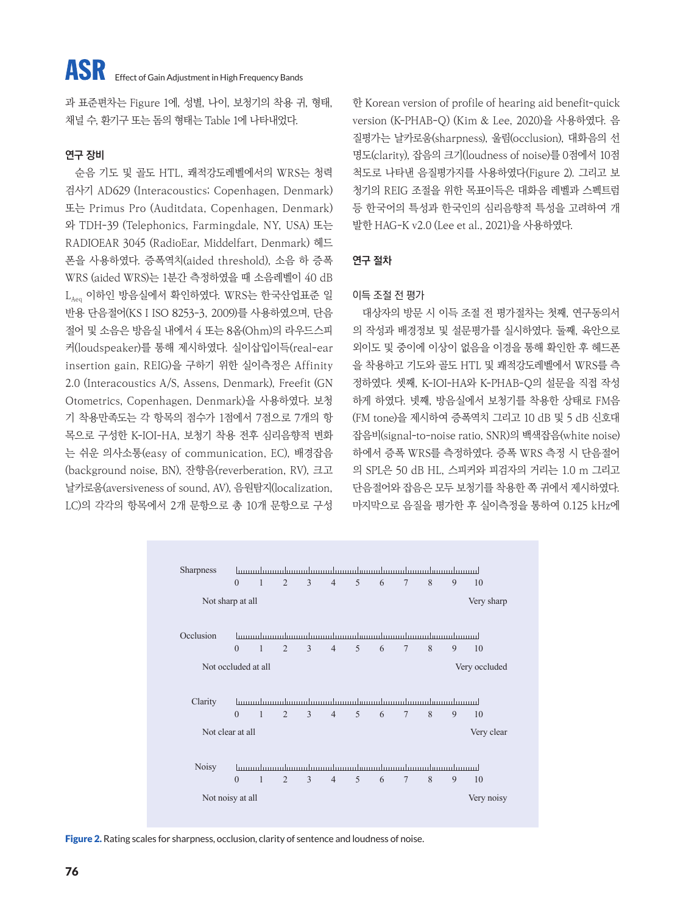과 표준편차는 Figure 1에, 성별, 나이, 보청기의 착용 귀, 형태, 채널 수, 환기구 또는 돔의 형태는 Table 1에 나타내었다.

### **연구 장비**

순음 기도 및 골도 HTL, 쾌적강도레벨에서의 WRS는 청력 검사기 AD629 (Interacoustics; Copenhagen, Denmark) 또는 Primus Pro (Auditdata, Copenhagen, Denmark) 와 TDH-39 (Telephonics, Farmingdale, NY, USA) 또는 RADIOEAR 3045 (RadioEar, Middelfart, Denmark) 헤드 폰을 사용하였다. 증폭역치(aided threshold), 소음 하 증폭 WRS (aided WRS)는 1분간 측정하였을 때 소음레벨이 40 dB LAeg 이하인 방음실에서 확인하였다. WRS는 한국산업표준 일 반용 단음절어(KS I ISO 8253-3, 2009)를 사용하였으며, 단음 절어 및 소음은 방음실 내에서 4 또는 8옴(Ohm)의 라우드스피 커(loudspeaker)를 통해 제시하였다. 실이삽입이득(real-ear insertion gain, REIG)을 구하기 위한 실이측정은 Affinity 2.0 (Interacoustics A/S, Assens, Denmark), Freefit (GN Otometrics, Copenhagen, Denmark)을 사용하였다. 보청 기 착용만족도는 각 항목의 점수가 1점에서 7점으로 7개의 항 목으로 구성한 K-IOI-HA, 보청기 착용 전후 심리음향적 변화 는 쉬운 의사소통(easy of communication, EC), 배경잡음 (background noise, BN), 잔향음(reverberation, RV), 크고 날카로움(aversiveness of sound, AV), 음원탐지(localization, LC)의 각각의 항목에서 2개 문항으로 총 10개 문항으로 구성

한 Korean version of profile of hearing aid benefit-quick version (K-PHAB-Q) (Kim & Lee, 2020)을 사용하였다. 음 질평가는 날카로움(sharpness), 울림(occlusion), 대화음의 선 명도(clarity), 잡음의 크기(loudness of noise)를 0점에서 10점 척도로 나타낸 음질평가지를 사용하였다(Figure 2). 그리고 보 청기의 REIG 조절을 위한 목표이득은 대화음 레벨과 스펙트럼 등 한국어의 특성과 한국인의 심리음향적 특성을 고려하여 개 발한 HAG-K v2.0 (Lee et al., 2021)을 사용하였다.

## **연구 절차**

#### 이득 조절 전 평가

대상자의 방문 시 이득 조절 전 평가절차는 첫째, 연구동의서 의 작성과 배경정보 및 설문평가를 실시하였다. 둘째, 육안으로 외이도 및 중이에 이상이 없음을 이경을 통해 확인한 후 헤드폰 을 착용하고 기도와 골도 HTL 및 쾌적강도레벨에서 WRS를 측 정하였다. 셋째, K-IOI-HA와 K-PHAB-Q의 설문을 직접 작성 하게 하였다. 넷째, 방음실에서 보청기를 착용한 상태로 FM음 (FM tone)을 제시하여 증폭역치 그리고 10 dB 및 5 dB 신호대 잡음비(signal-to-noise ratio, SNR)의 백색잡음(white noise) 하에서 증폭 WRS를 측정하였다. 증폭 WRS 측정 시 단음절어 의 SPL은 50 dB HL, 스피커와 피검자의 거리는 1.0 m 그리고 단음절어와 잡음은 모두 보청기를 착용한 쪽 귀에서 제시하였다. 마지막으로 음질을 평가한 후 실이측정을 통하여 0.125 kHz에



Figure 2. Rating scales for sharpness, occlusion, clarity of sentence and loudness of noise.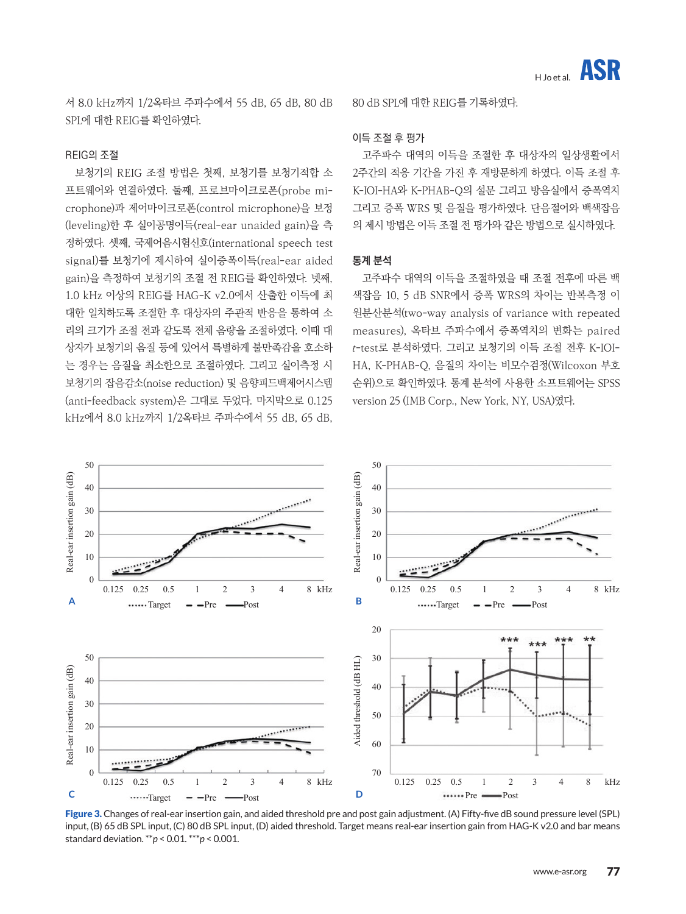서 8.0 kHz까지 1/2옥타브 주파수에서 55 dB, 65 dB, 80 dB SPL에 대한 REIG를 확인하였다.

#### REIG의 조절

보청기의 REIG 조절 방법은 첫째, 보청기를 보청기적합 소 프트웨어와 연결하였다. 둘째, 프로브마이크로폰(probe microphone)과 제어마이크로폰(control microphone)을 보정 (leveling)한 후 실이공명이득(real-ear unaided gain)을 측 정하였다. 셋째, 국제어음시험신호(international speech test signal)를 보청기에 제시하여 실이증폭이득(real-ear aided gain)을 측정하여 보청기의 조절 전 REIG를 확인하였다. 넷째, 1.0 kHz 이상의 REIG를 HAG-K v2.0에서 산출한 이득에 최 대한 일치하도록 조절한 후 대상자의 주관적 반응을 통하여 소 리의 크기가 조절 전과 같도록 전체 음량을 조절하였다. 이때 대 상자가 보청기의 음질 등에 있어서 특별하게 불만족감을 호소하 는 경우는 음질을 최소한으로 조절하였다. 그리고 실이측정 시 보청기의 잡음감소(noise reduction) 및 음향피드백제어시스템 (anti-feedback system)은 그대로 두었다. 마지막으로 0.125 kHz에서 8.0 kHz까지 1/2옥타브 주파수에서 55 dB, 65 dB,

80 dB SPL에 대한 REIG를 기록하였다.

#### 이득 조절 후 평가

고주파수 대역의 이득을 조절한 후 대상자의 일상생활에서 2주간의 적응 기간을 가진 후 재방문하게 하였다. 이득 조절 후 K-IOI-HA와 K-PHAB-Q의 설문 그리고 방음실에서 증폭역치 그리고 증폭 WRS 및 음질을 평가하였다. 단음절어와 백색잡음 의 제시 방법은 이득 조절 전 평가와 같은 방법으로 실시하였다.

#### **통계 분석**

고주파수 대역의 이득을 조절하였을 때 조절 전후에 따른 백 색잡음 10, 5 dB SNR에서 증폭 WRS의 차이는 반복측정 이 원분산분석(two-way analysis of variance with repeated measures), 옥타브 주파수에서 증폭역치의 변화는 paired t-test로 분석하였다. 그리고 보청기의 이득 조절 전후 K-IOI-HA, K-PHAB-Q, 음질의 차이는 비모수검정(Wilcoxon 부호 순위)으로 확인하였다. 통계 분석에 사용한 소프트웨어는 SPSS version 25 (IMB Corp., New York, NY, USA)였다.



Figure 3. Changes of real-ear insertion gain, and aided threshold pre and post gain adjustment. (A) Fifty-five dB sound pressure level (SPL) input, (B) 65 dB SPL input, (C) 80 dB SPL input, (D) aided threshold. Target means real-ear insertion gain from HAG-K v2.0 and bar means standard deviation. \*\**p* < 0.01. \*\*\**p* < 0.001.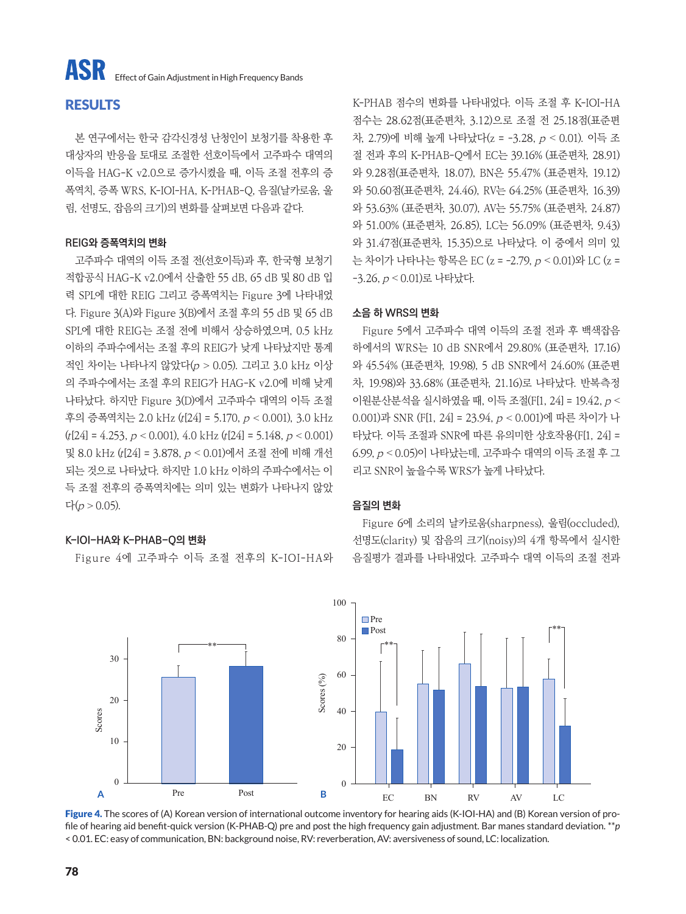## **RESULTS**

본 연구에서는 한국 감각신경성 난청인이 보청기를 착용한 후 대상자의 반응을 토대로 조절한 선호이득에서 고주파수 대역의 이득을 HAG-K v2.0으로 증가시켰을 때, 이득 조절 전후의 증 폭역치, 증폭 WRS, K-IOI-HA, K-PHAB-Q, 음질(날카로움, 울 림, 선명도, 잡음의 크기)의 변화를 살펴보면 다음과 같다.

#### **REIG와 증폭역치의 변화**

고주파수 대역의 이득 조절 전(선호이득)과 후, 한국형 보청기 적합공식 HAG-K v2.0에서 산출한 55 dB, 65 dB 및 80 dB 입 력 SPL에 대한 REIG 그리고 증폭역치는 Figure 3에 나타내었 다. Figure 3(A)와 Figure 3(B)에서 조절 후의 55 dB 및 65 dB SPL에 대한 REIG는 조절 전에 비해서 상승하였으며, 0.5 kHz 이하의 주파수에서는 조절 후의 REIG가 낮게 나타났지만 통계 적인 차이는 나타나지 않았다(<sup>p</sup> > 0.05). 그리고 3.0 kHz 이상 의 주파수에서는 조절 후의 REIG가 HAG-K v2.0에 비해 낮게 나타났다. 하지만 Figure 3(D)에서 고주파수 대역의 이득 조절 후의 증폭역치는 2.0 kHz (t[24] = 5.170, <sup>p</sup> < 0.001), 3.0 kHz  $(t[24] = 4.253, p < 0.001)$ ,  $4.0$  kHz  $(t[24] = 5.148, p < 0.001)$ 및 8.0 kHz (t[24] = 3.878, <sup>p</sup> < 0.01)에서 조절 전에 비해 개선 되는 것으로 나타났다. 하지만 1.0 kHz 이하의 주파수에서는 이 득 조절 전후의 증폭역치에는 의미 있는 변화가 나타나지 않았 다(<sup>p</sup> > 0.05).

#### **K-IOI-HA와 K-PHAB-Q의 변화**

Figure 4에 고주파수 이득 조절 전후의 K-IOI-HA와

K-PHAB 점수의 변화를 나타내었다. 이득 조절 후 K-IOI-HA 점수는 28.62점(표준편차, 3.12)으로 조절 전 25.18점(표준편 차, 2.79)에 비해 높게 나타났다(z = -3.28, <sup>p</sup> < 0.01). 이득 조 절 전과 후의 K-PHAB-Q에서 EC는 39.16% (표준편차, 28.91) 와 9.28점(표준편차, 18.07), BN은 55.47% (표준편차, 19.12) 와 50.60점(표준편차, 24.46), RV는 64.25% (표준편차, 16.39) 와 53.63% (표준편차, 30.07), AV는 55.75% (표준편차, 24.87) 와 51.00% (표준편차, 26.85), LC는 56.09% (표준편차, 9.43) 와 31.47점(표준편차, 15.35)으로 나타났다. 이 중에서 의미 있 는 차이가 나타나는 항목은 EC (z = -2.79, <sup>p</sup> < 0.01)와 LC (z = -3.26, <sup>p</sup> < 0.01)로 나타났다.

#### **소음 하 WRS의 변화**

Figure 5에서 고주파수 대역 이득의 조절 전과 후 백색잡음 하에서의 WRS는 10 dB SNR에서 29.80% (표준편차, 17.16) 와 45.54% (표준편차, 19.98), 5 dB SNR에서 24.60% (표준편 차, 19.98)와 33.68% (표준편차, 21.16)로 나타났다. 반복측정 이원분산분석을 실시하였을 때, 이득 조절(F[1, 24] = 19.42, <sup>p</sup> < 0.001)과 SNR (F[1, 24] = 23.94, <sup>p</sup> < 0.001)에 따른 차이가 나 타났다. 이득 조절과 SNR에 따른 유의미한 상호작용(F[1, 24] = 6.99, <sup>p</sup> < 0.05)이 나타났는데, 고주파수 대역의 이득 조절 후 그 리고 SNR이 높을수록 WRS가 높게 나타났다.

#### **음질의 변화**

Figure 6에 소리의 날카로움(sharpness), 울림(occluded), 선명도(clarity) 및 잡음의 크기(noisy)의 4개 항목에서 실시한 음질평가 결과를 나타내었다. 고주파수 대역 이득의 조절 전과



Figure 4. The scores of (A) Korean version of international outcome inventory for hearing aids (K-IOI-HA) and (B) Korean version of profile of hearing aid benefit-quick version (K-PHAB-Q) pre and post the high frequency gain adjustment. Bar manes standard deviation. \*\**p*  < 0.01. EC: easy of communication, BN: background noise, RV: reverberation, AV: aversiveness of sound, LC: localization.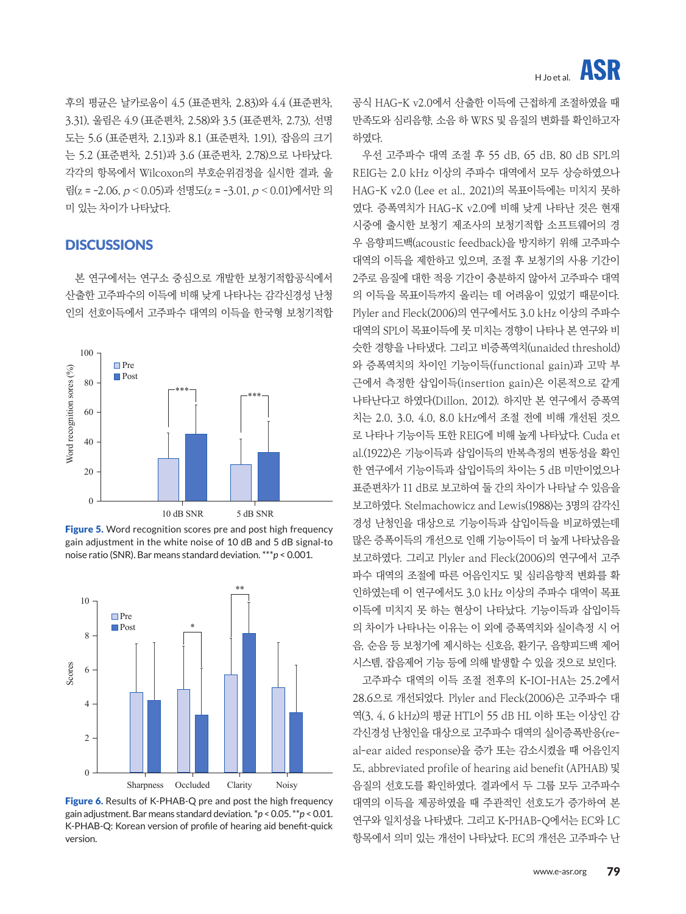후의 평균은 날카로움이 4.5 (표준편차, 2.83)와 4.4 (표준편차, 3.31), 울림은 4.9 (표준편차, 2.58)와 3.5 (표준편차, 2.73), 선명 도는 5.6 (표준편차, 2.13)과 8.1 (표준편차, 1.91), 잡음의 크기 는 5.2 (표준편차, 2.51)과 3.6 (표준편차, 2.78)으로 나타났다. 각각의 항목에서 Wilcoxon의 부호순위검정을 실시한 결과, 울 림(z =  $-2.06$ ,  $p < 0.05$ )과 선명도(z =  $-3.01$ ,  $p < 0.01$ )에서만 의 미 있는 차이가 나타났다.

## **DISCUSSIONS**

본 연구에서는 연구소 중심으로 개발한 보청기적합공식에서 산출한 고주파수의 이득에 비해 낮게 나타나는 감각신경성 난청 인의 선호이득에서 고주파수 대역의 이득을 한국형 보청기적합



Figure 5. Word recognition scores pre and post high frequency gain adjustment in the white noise of 10 dB and 5 dB signal-to noise ratio (SNR). Bar means standard deviation. \*\*\**p* < 0.001.



Figure 6. Results of K-PHAB-Q pre and post the high frequency gain adjustment. Bar means standard deviation. \**p* < 0.05. \*\**p* < 0.01. K-PHAB-Q: Korean version of profile of hearing aid benefit-quick version.

공식 HAG-K v2.0에서 산출한 이득에 근접하게 조절하였을 때 만족도와 심리음향, 소음 하 WRS 및 음질의 변화를 확인하고자 하였다.

우선 고주파수 대역 조절 후 55 dB, 65 dB, 80 dB SPL의 REIG는 2.0 kHz 이상의 주파수 대역에서 모두 상승하였으나 HAG-K v2.0 (Lee et al., 2021)의 목표이득에는 미치지 못하 였다. 증폭역치가 HAG-K v2.0에 비해 낮게 나타난 것은 현재 시중에 출시한 보청기 제조사의 보청기적합 소프트웨어의 경 우 음향피드백(acoustic feedback)을 방지하기 위해 고주파수 대역의 이득을 제한하고 있으며, 조절 후 보청기의 사용 기간이 2주로 음질에 대한 적응 기간이 충분하지 않아서 고주파수 대역 의 이득을 목표이득까지 올리는 데 어려움이 있었기 때문이다. Plyler and Fleck(2006)의 연구에서도 3.0 kHz 이상의 주파수 대역의 SPL이 목표이득에 못 미치는 경향이 나타나 본 연구와 비 슷한 경향을 나타냈다. 그리고 비증폭역치(unaided threshold) 와 증폭역치의 차이인 기능이득(functional gain)과 고막 부 근에서 측정한 삽입이득(insertion gain)은 이론적으로 같게 나타난다고 하였다(Dillon, 2012). 하지만 본 연구에서 증폭역 치는 2.0, 3.0, 4.0, 8.0 kHz에서 조절 전에 비해 개선된 것으 로 나타나 기능이득 또한 REIG에 비해 높게 나타났다. Cuda et al.(1922)은 기능이득과 삽입이득의 반복측정의 변동성을 확인 한 연구에서 기능이득과 삽입이득의 차이는 5 dB 미만이었으나 표준편차가 11 dB로 보고하여 둘 간의 차이가 나타날 수 있음을 보고하였다. Stelmachowicz and Lewis(1988)는 3명의 감각신 경성 난청인을 대상으로 기능이득과 삽입이득을 비교하였는데 많은 증폭이득의 개선으로 인해 기능이득이 더 높게 나타났음을 보고하였다. 그리고 Plyler and Fleck(2006)의 연구에서 고주 파수 대역의 조절에 따른 어음인지도 및 심리음향적 변화를 확 인하였는데 이 연구에서도 3.0 kHz 이상의 주파수 대역이 목표 이득에 미치지 못 하는 현상이 나타났다. 기능이득과 삽입이득 의 차이가 나타나는 이유는 이 외에 증폭역치와 실이측정 시 어 음, 순음 등 보청기에 제시하는 신호음, 환기구, 음향피드백 제어 시스템, 잡음제어 기능 등에 의해 발생할 수 있을 것으로 보인다.

고주파수 대역의 이득 조절 전후의 K-IOI-HA는 25.2에서 28.6으로 개선되었다. Plyler and Fleck(2006)은 고주파수 대 역(3, 4, 6 kHz)의 평균 HTL이 55 dB HL 이하 또는 이상인 감 각신경성 난청인을 대상으로 고주파수 대역의 실이증폭반응(real-ear aided response)을 증가 또는 감소시켰을 때 어음인지 도, abbreviated profile of hearing aid benefit (APHAB) 및 음질의 선호도를 확인하였다. 결과에서 두 그룹 모두 고주파수 대역의 이득을 제공하였을 때 주관적인 선호도가 증가하여 본 연구와 일치성을 나타냈다. 그리고 K-PHAB-Q에서는 EC와 LC 항목에서 의미 있는 개선이 나타났다. EC의 개선은 고주파수 난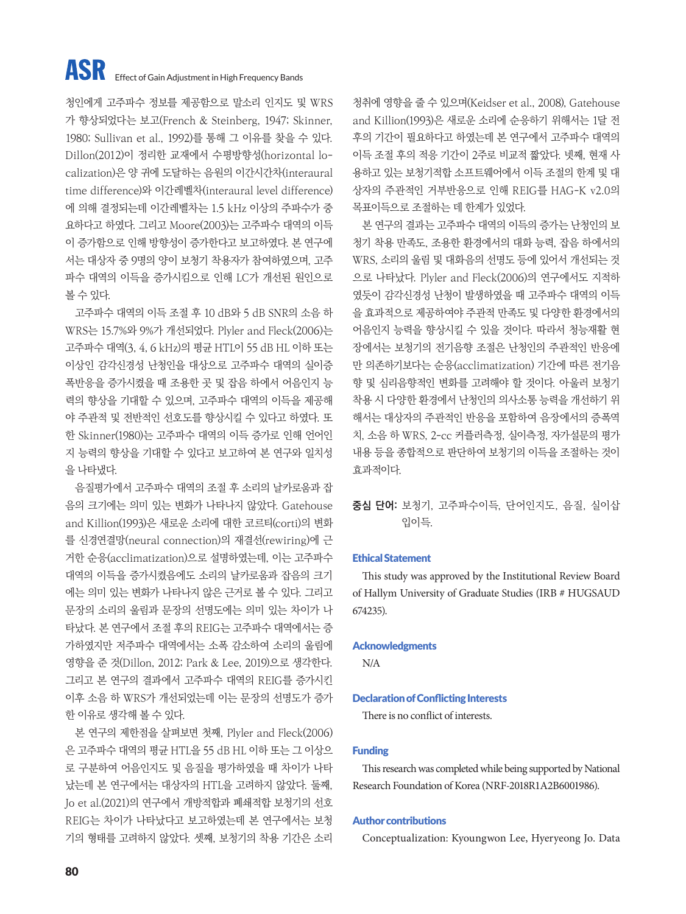## **ASR** Effect of Gain Adjustment in High Frequency Bands

청인에게 고주파수 정보를 제공함으로 말소리 인지도 및 WRS 가 향상되었다는 보고(French & Steinberg, 1947; Skinner, 1980; Sullivan et al., 1992)를 통해 그 이유를 찾을 수 있다. Dillon(2012)이 정리한 교재에서 수평방향성(horizontal localization)은 양 귀에 도달하는 음원의 이간시간차(interaural time difference)와 이간레벨차(interaural level difference) 에 의해 결정되는데 이간레벨차는 1.5 kHz 이상의 주파수가 중 요하다고 하였다. 그리고 Moore(2003)는 고주파수 대역의 이득 이 증가함으로 인해 방향성이 증가한다고 보고하였다. 본 연구에 서는 대상자 중 9명의 양이 보청기 착용자가 참여하였으며, 고주 파수 대역의 이득을 증가시킴으로 인해 LC가 개선된 원인으로 볼 수 있다.

고주파수 대역의 이득 조절 후 10 dB와 5 dB SNR의 소음 하 WRS는 15.7%와 9%가 개선되었다. Plyler and Fleck(2006)는 고주파수 대역(3, 4, 6 kHz)의 평균 HTL이 55 dB HL 이하 또는 이상인 감각신경성 난청인을 대상으로 고주파수 대역의 실이증 폭반응을 증가시켰을 때 조용한 곳 및 잡음 하에서 어음인지 능 력의 향상을 기대할 수 있으며, 고주파수 대역의 이득을 제공해 야 주관적 및 전반적인 선호도를 향상시킬 수 있다고 하였다. 또 한 Skinner(1980)는 고주파수 대역의 이득 증가로 인해 언어인 지 능력의 향상을 기대할 수 있다고 보고하여 본 연구와 일치성 을 나타냈다.

음질평가에서 고주파수 대역의 조절 후 소리의 날카로움과 잡 음의 크기에는 의미 있는 변화가 나타나지 않았다. Gatehouse and Killion(1993)은 새로운 소리에 대한 코르티(corti)의 변화 를 신경연결망(neural connection)의 재결선(rewiring)에 근 거한 순응(acclimatization)으로 설명하였는데, 이는 고주파수 대역의 이득을 증가시켰음에도 소리의 날카로움과 잡음의 크기 에는 의미 있는 변화가 나타나지 않은 근거로 볼 수 있다. 그리고 문장의 소리의 울림과 문장의 선명도에는 의미 있는 차이가 나 타났다. 본 연구에서 조절 후의 REIG는 고주파수 대역에서는 증 가하였지만 저주파수 대역에서는 소폭 감소하여 소리의 울림에 영향을 준 것(Dillon, 2012; Park & Lee, 2019)으로 생각한다. 그리고 본 연구의 결과에서 고주파수 대역의 REIG를 증가시킨 이후 소음 하 WRS가 개선되었는데 이는 문장의 선명도가 증가 한 이유로 생각해 볼 수 있다.

본 연구의 제한점을 살펴보면 첫째, Plyler and Fleck(2006) 은 고주파수 대역의 평균 HTL을 55 dB HL 이하 또는 그 이상으 로 구분하여 어음인지도 및 음질을 평가하였을 때 차이가 나타 났는데 본 연구에서는 대상자의 HTL을 고려하지 않았다. 둘째, Jo et al.(2021)의 연구에서 개방적합과 폐쇄적합 보청기의 선호 REIG는 차이가 나타났다고 보고하였는데 본 연구에서는 보청 기의 형태를 고려하지 않았다. 셋째, 보청기의 착용 기간은 소리

청취에 영향을 줄 수 있으며(Keidser et al., 2008), Gatehouse and Killion(1993)은 새로운 소리에 순응하기 위해서는 1달 전 후의 기간이 필요하다고 하였는데 본 연구에서 고주파수 대역의 이득 조절 후의 적응 기간이 2주로 비교적 짧았다. 넷째, 현재 사 용하고 있는 보청기적합 소프트웨어에서 이득 조절의 한계 및 대 상자의 주관적인 거부반응으로 인해 REIG를 HAG-K v2.0의 목표이득으로 조절하는 데 한계가 있었다.

본 연구의 결과는 고주파수 대역의 이득의 증가는 난청인의 보 청기 착용 만족도, 조용한 환경에서의 대화 능력, 잡음 하에서의 WRS, 소리의 울림 및 대화음의 선명도 등에 있어서 개선되는 것 으로 나타났다. Plyler and Fleck(2006)의 연구에서도 지적하 였듯이 감각신경성 난청이 발생하였을 때 고주파수 대역의 이득 을 효과적으로 제공하여야 주관적 만족도 및 다양한 환경에서의 어음인지 능력을 향상시킬 수 있을 것이다. 따라서 청능재활 현 장에서는 보청기의 전기음향 조절은 난청인의 주관적인 반응에 만 의존하기보다는 순응(acclimatization) 기간에 따른 전기음 향 및 심리음향적인 변화를 고려해야 할 것이다. 아울러 보청기 착용 시 다양한 환경에서 난청인의 의사소통 능력을 개선하기 위 해서는 대상자의 주관적인 반응을 포함하여 음장에서의 증폭역 치, 소음 하 WRS, 2-cc 커플러측정, 실이측정, 자가설문의 평가 내용 등을 종합적으로 판단하여 보청기의 이득을 조절하는 것이 효과적이다.

**중심 단어:** 보청기, 고주파수이득, 단어인지도, 음질, 실이삽 입이득.

#### Ethical Statement

This study was approved by the Institutional Review Board of Hallym University of Graduate Studies (IRB # HUGSAUD 674235).

#### Acknowledgments

N/A

#### Declaration of Conflicting Interests

There is no conflict of interests.

#### Funding

This research was completed while being supported by National Research Foundation of Korea (NRF-2018R1A2B6001986).

#### Author contributions

Conceptualization: Kyoungwon Lee, Hyeryeong Jo. Data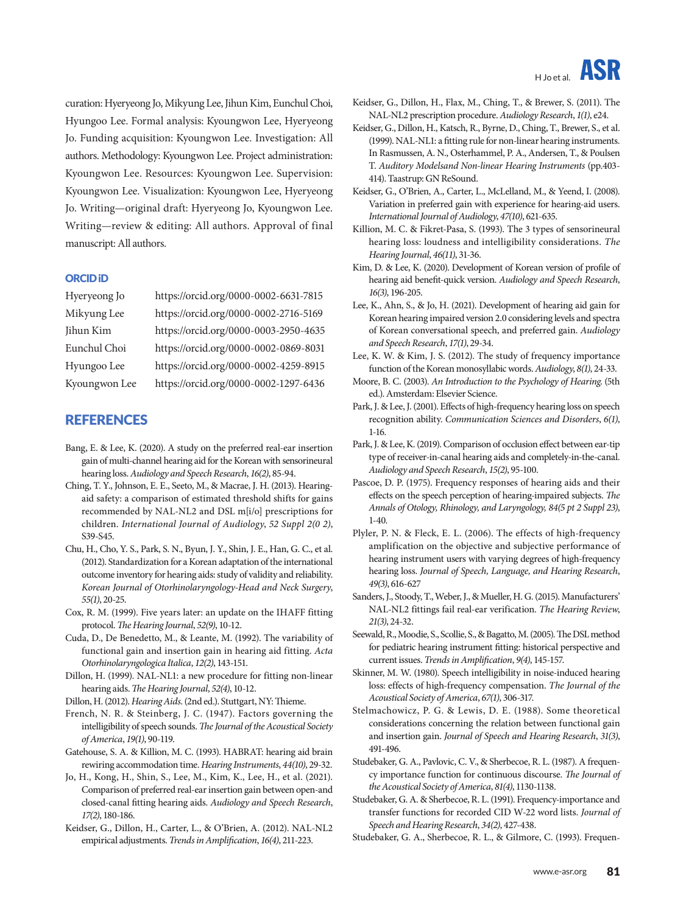curation: Hyeryeong Jo, Mikyung Lee, Jihun Kim, Eunchul Choi, Hyungoo Lee. Formal analysis: Kyoungwon Lee, Hyeryeong Jo. Funding acquisition: Kyoungwon Lee. Investigation: All authors. Methodology: Kyoungwon Lee. Project administration: Kyoungwon Lee. Resources: Kyoungwon Lee. Supervision: Kyoungwon Lee. Visualization: Kyoungwon Lee, Hyeryeong Jo. Writing—original draft: Hyeryeong Jo, Kyoungwon Lee. Writing—review & editing: All authors. Approval of final manuscript: All authors.

#### ORCID iD

| Hyeryeong Jo  | https://orcid.org/0000-0002-6631-7815 |
|---------------|---------------------------------------|
| Mikyung Lee   | https://orcid.org/0000-0002-2716-5169 |
| Jihun Kim     | https://orcid.org/0000-0003-2950-4635 |
| Eunchul Choi  | https://orcid.org/0000-0002-0869-8031 |
| Hyungoo Lee   | https://orcid.org/0000-0002-4259-8915 |
| Kyoungwon Lee | https://orcid.org/0000-0002-1297-6436 |

#### **REFERENCES**

- Bang, E. & Lee, K. (2020). A study on the preferred real-ear insertion gain of multi-channel hearing aid for the Korean with sensorineural hearing loss. *Audiology and Speech Research*, *16(2)*, 85-94.
- Ching, T. Y., Johnson, E. E., Seeto, M., & Macrae, J. H. (2013). Hearingaid safety: a comparison of estimated threshold shifts for gains recommended by NAL-NL2 and DSL m[i/o] prescriptions for children. *International Journal of Audiology*, *52 Suppl 2(0 2)*, S39-S45.
- Chu, H., Cho, Y. S., Park, S. N., Byun, J. Y., Shin, J. E., Han, G. C., et al. (2012). Standardization for a Korean adaptation of the international outcome inventory for hearing aids: study of validity and reliability. *Korean Journal of Otorhinolaryngology-Head and Neck Surgery*, *55(1)*, 20-25.
- Cox, R. M. (1999). Five years later: an update on the IHAFF fitting protocol. *The Hearing Journal*, *52(9)*, 10-12.
- Cuda, D., De Benedetto, M., & Leante, M. (1992). The variability of functional gain and insertion gain in hearing aid fitting. *Acta Otorhinolaryngologica Italica*, *12(2)*, 143-151.
- Dillon, H. (1999). NAL-NL1: a new procedure for fitting non-linear hearing aids. *The Hearing Journal*, *52(4)*, 10-12.
- Dillon, H. (2012). *Hearing Aids*. (2nd ed.). Stuttgart, NY: Thieme.
- French, N. R. & Steinberg, J. C. (1947). Factors governing the intelligibility of speech sounds. *The Journal of the Acoustical Society of America*, *19(1)*, 90-119.
- Gatehouse, S. A. & Killion, M. C. (1993). HABRAT: hearing aid brain rewiring accommodation time. *Hearing Instruments*, *44(10)*, 29-32.
- Jo, H., Kong, H., Shin, S., Lee, M., Kim, K., Lee, H., et al. (2021). Comparison of preferred real-ear insertion gain between open-and closed-canal fitting hearing aids. *Audiology and Speech Research*, *17(2)*, 180-186.
- Keidser, G., Dillon, H., Carter, L., & O'Brien, A. (2012). NAL-NL2 empirical adjustments. *Trends in Amplification*, *16(4)*, 211-223.
- Keidser, G., Dillon, H., Flax, M., Ching, T., & Brewer, S. (2011). The NAL-NL2 prescription procedure. *Audiology Research*, *1(1)*, e24.
- Keidser, G., Dillon, H., Katsch, R., Byrne, D., Ching, T., Brewer, S., et al. (1999). NAL-NL1: a fitting rule for non-linear hearing instruments. In Rasmussen, A. N., Osterhammel, P. A., Andersen, T., & Poulsen T. *Auditory Modelsand Non-linear Hearing Instruments* (pp.403- 414). Taastrup: GN ReSound.
- Keidser, G., O'Brien, A., Carter, L., McLelland, M., & Yeend, I. (2008). Variation in preferred gain with experience for hearing-aid users. *International Journal of Audiology*, *47(10)*, 621-635.
- Killion, M. C. & Fikret-Pasa, S. (1993). The 3 types of sensorineural hearing loss: loudness and intelligibility considerations. *The Hearing Journal*, *46(11)*, 31-36.
- Kim, D. & Lee, K. (2020). Development of Korean version of profile of hearing aid benefit-quick version. *Audiology and Speech Research*, *16(3)*, 196-205.
- Lee, K., Ahn, S., & Jo, H. (2021). Development of hearing aid gain for Korean hearing impaired version 2.0 considering levels and spectra of Korean conversational speech, and preferred gain. *Audiology and Speech Research*, *17(1)*, 29-34.
- Lee, K. W. & Kim, J. S. (2012). The study of frequency importance function of the Korean monosyllabic words. *Audiology*, *8(1)*, 24-33.
- Moore, B. C. (2003). *An Introduction to the Psychology of Hearing*. (5th ed.). Amsterdam: Elsevier Science.
- Park, J. & Lee, J. (2001). Effects of high-frequency hearing loss on speech recognition ability. *Communication Sciences and Disorders*, *6(1)*, 1-16.
- Park, J. & Lee, K. (2019). Comparison of occlusion effect between ear-tip type of receiver-in-canal hearing aids and completely-in-the-canal. *Audiology and Speech Research*, *15(2)*, 95-100.
- Pascoe, D. P. (1975). Frequency responses of hearing aids and their effects on the speech perception of hearing-impaired subjects. *The Annals of Otology, Rhinology, and Laryngology, 84(5 pt 2 Suppl 23)*, 1-40.
- Plyler, P. N. & Fleck, E. L. (2006). The effects of high-frequency amplification on the objective and subjective performance of hearing instrument users with varying degrees of high-frequency hearing loss. *Journal of Speech, Language, and Hearing Research*, *49(3)*, 616-627
- Sanders, J., Stoody, T., Weber, J., & Mueller, H. G. (2015). Manufacturers' NAL-NL2 fittings fail real-ear verification. *The Hearing Review*, *21(3)*, 24-32.
- Seewald, R., Moodie, S., Scollie, S., & Bagatto, M. (2005). The DSL method for pediatric hearing instrument fitting: historical perspective and current issues. *Trends in Amplification*, *9(4)*, 145-157.
- Skinner, M. W. (1980). Speech intelligibility in noise-induced hearing loss: effects of high-frequency compensation. *The Journal of the Acoustical Society of America*, *67(1)*, 306-317.
- Stelmachowicz, P. G. & Lewis, D. E. (1988). Some theoretical considerations concerning the relation between functional gain and insertion gain. *Journal of Speech and Hearing Research*, *31(3)*, 491-496.
- Studebaker, G. A., Pavlovic, C. V., & Sherbecoe, R. L. (1987). A frequency importance function for continuous discourse. *The Journal of the Acoustical Society of America*, *81(4)*, 1130-1138.
- Studebaker, G. A. & Sherbecoe, R. L. (1991). Frequency-importance and transfer functions for recorded CID W-22 word lists. *Journal of Speech and Hearing Research*, *34(2)*, 427-438.
- Studebaker, G. A., Sherbecoe, R. L., & Gilmore, C. (1993). Frequen-